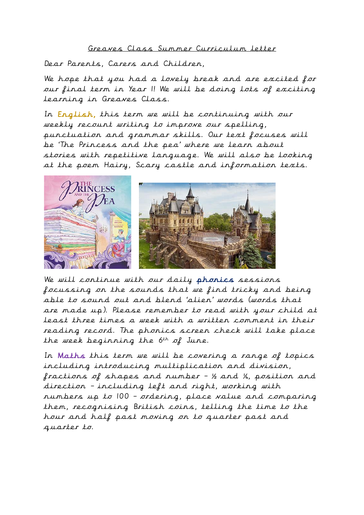## Greaves Class Summer Curriculum letter

Dear Parents, Carers and Children,

We hope that you had a lovely break and are excited for our final term in Year 1! We will be doing lots of exciting learning in Greaves Class.

In English, this term we will be continuing with our weekly recount writing to improve our spelling, punctuation and grammar skills. Our text focuses will be 'The Princess and the pea' where we learn about stories with repetitive language. We will also be looking at the poem Hairy, Scary castle and information texts.



We will continue with our daily phonics sessions focussing on the sounds that we find tricky and being able to sound out and blend 'alien' words (words that are made up). Please remember to read with your child at least three times a week with a written comment in their reading record. The phonics screen check will take place the week beginning the  $6^{th}$  of June.

In Maths this term we will be covering a range of topics including introducing multiplication and division, fractions of shapes and number – ½ and ¼, position and direction – including left and right, working with numbers up to 100 – ordering, place value and comparing them, recognising British coins, telling the time to the hour and half past moving on to quarter past and quarter to.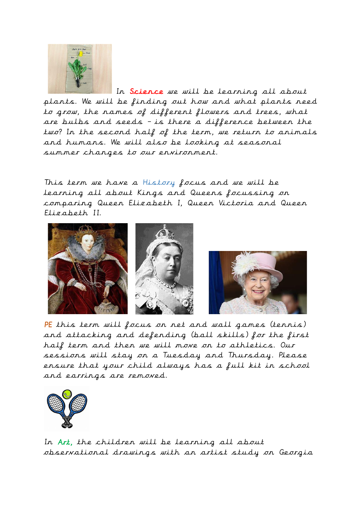

In Science we will be learning all about plants. We will be finding out how and what plants need to grow, the names of different flowers and trees, what are bulbs and seeds – is there a difference between the two? In the second half of the term, we return to animals and humans. We will also be looking at seasonal summer changes to our environment.

This term we have a History focus and we will be learning all about Kings and Queens focussing on comparing Queen Elizabeth I, Queen Victoria and Queen Elizabeth II.



PE this term will focus on net and wall games (tennis) and attacking and defending (ball skills) for the first half term and then we will move on to athletics. Our sessions will stay on a Tuesday and Thursday. Please ensure that your child always has a full kit in school and earrings are removed.



In Art, the children will be learning all about observational drawings with an artist study on Georgia